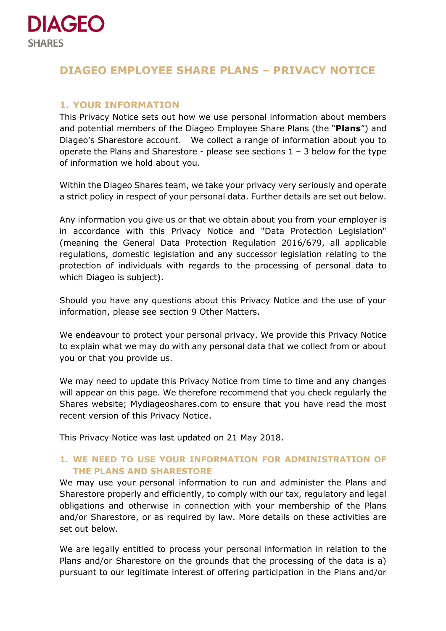

# **DIAGEO EMPLOYEE SHARE PLANS – PRIVACY NOTICE**

## **1. YOUR INFORMATION**

This Privacy Notice sets out how we use personal information about members and potential members of the Diageo Employee Share Plans (the "**Plans**") and Diageo's Sharestore account. We collect a range of information about you to operate the Plans and Sharestore - please see sections  $1 - 3$  below for the type of information we hold about you.

Within the Diageo Shares team, we take your privacy very seriously and operate a strict policy in respect of your personal data. Further details are set out below.

Any information you give us or that we obtain about you from your employer is in accordance with this Privacy Notice and "Data Protection Legislation" (meaning the General Data Protection Regulation 2016/679, all applicable regulations, domestic legislation and any successor legislation relating to the protection of individuals with regards to the processing of personal data to which Diageo is subject).

Should you have any questions about this Privacy Notice and the use of your information, please see section 9 Other Matters.

We endeavour to protect your personal privacy. We provide this Privacy Notice to explain what we may do with any personal data that we collect from or about you or that you provide us.

We may need to update this Privacy Notice from time to time and any changes will appear on this page. We therefore recommend that you check regularly the Shares website; Mydiageoshares.com to ensure that you have read the most recent version of this Privacy Notice.

This Privacy Notice was last updated on 21 May 2018.

# **1. WE NEED TO USE YOUR INFORMATION FOR ADMINISTRATION OF THE PLANS AND SHARESTORE**

We may use your personal information to run and administer the Plans and Sharestore properly and efficiently, to comply with our tax, regulatory and legal obligations and otherwise in connection with your membership of the Plans and/or Sharestore, or as required by law. More details on these activities are set out below.

We are legally entitled to process your personal information in relation to the Plans and/or Sharestore on the grounds that the processing of the data is a) pursuant to our legitimate interest of offering participation in the Plans and/or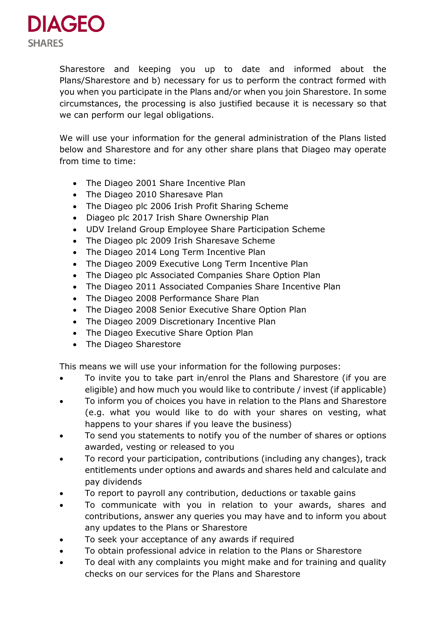

Sharestore and keeping you up to date and informed about the Plans/Sharestore and b) necessary for us to perform the contract formed with you when you participate in the Plans and/or when you join Sharestore. In some circumstances, the processing is also justified because it is necessary so that we can perform our legal obligations.

We will use your information for the general administration of the Plans listed below and Sharestore and for any other share plans that Diageo may operate from time to time:

- The Diageo 2001 Share Incentive Plan
- The Diageo 2010 Sharesave Plan
- The Diageo plc 2006 Irish Profit Sharing Scheme
- Diageo plc 2017 Irish Share Ownership Plan
- UDV Ireland Group Employee Share Participation Scheme
- The Diageo plc 2009 Irish Sharesave Scheme
- The Diageo 2014 Long Term Incentive Plan
- The Diageo 2009 Executive Long Term Incentive Plan
- The Diageo plc Associated Companies Share Option Plan
- The Diageo 2011 Associated Companies Share Incentive Plan
- The Diageo 2008 Performance Share Plan
- The Diageo 2008 Senior Executive Share Option Plan
- The Diageo 2009 Discretionary Incentive Plan
- The Diageo Executive Share Option Plan
- The Diageo Sharestore

This means we will use your information for the following purposes:

- To invite you to take part in/enrol the Plans and Sharestore (if you are eligible) and how much you would like to contribute / invest (if applicable)
- To inform you of choices you have in relation to the Plans and Sharestore (e.g. what you would like to do with your shares on vesting, what happens to your shares if you leave the business)
- To send you statements to notify you of the number of shares or options awarded, vesting or released to you
- To record your participation, contributions (including any changes), track entitlements under options and awards and shares held and calculate and pay dividends
- To report to payroll any contribution, deductions or taxable gains
- To communicate with you in relation to your awards, shares and contributions, answer any queries you may have and to inform you about any updates to the Plans or Sharestore
- To seek your acceptance of any awards if required
- To obtain professional advice in relation to the Plans or Sharestore
- To deal with any complaints you might make and for training and quality checks on our services for the Plans and Sharestore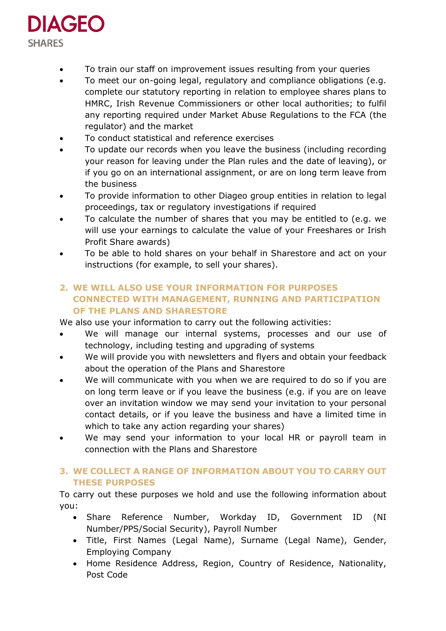

- To train our staff on improvement issues resulting from your queries
- To meet our on-going legal, regulatory and compliance obligations (e.g. complete our statutory reporting in relation to employee shares plans to HMRC, Irish Revenue Commissioners or other local authorities; to fulfil any reporting required under Market Abuse Regulations to the FCA (the regulator) and the market
- To conduct statistical and reference exercises
- To update our records when you leave the business (including recording your reason for leaving under the Plan rules and the date of leaving), or if you go on an international assignment, or are on long term leave from the business
- To provide information to other Diageo group entities in relation to legal proceedings, tax or regulatory investigations if required
- To calculate the number of shares that you may be entitled to (e.g. we will use your earnings to calculate the value of your Freeshares or Irish Profit Share awards)
- To be able to hold shares on your behalf in Sharestore and act on your instructions (for example, to sell your shares).

# **2. WE WILL ALSO USE YOUR INFORMATION FOR PURPOSES CONNECTED WITH MANAGEMENT, RUNNING AND PARTICIPATION OF THE PLANS AND SHARESTORE**

We also use your information to carry out the following activities:

- We will manage our internal systems, processes and our use of technology, including testing and upgrading of systems
- We will provide you with newsletters and flyers and obtain your feedback about the operation of the Plans and Sharestore
- We will communicate with you when we are required to do so if you are on long term leave or if you leave the business (e.g. if you are on leave over an invitation window we may send your invitation to your personal contact details, or if you leave the business and have a limited time in which to take any action regarding your shares)
- We may send your information to your local HR or payroll team in connection with the Plans and Sharestore

# **3. WE COLLECT A RANGE OF INFORMATION ABOUT YOU TO CARRY OUT THESE PURPOSES**

To carry out these purposes we hold and use the following information about you:

- Share Reference Number, Workday ID, Government ID (NI Number/PPS/Social Security), Payroll Number
- Title, First Names (Legal Name), Surname (Legal Name), Gender, Employing Company
- Home Residence Address, Region, Country of Residence, Nationality, Post Code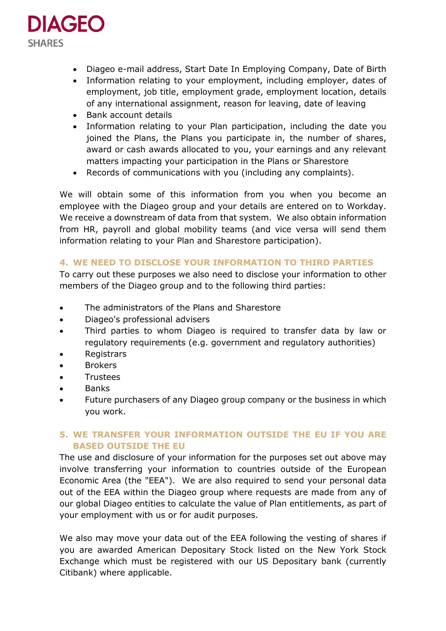

- Diageo e-mail address, Start Date In Employing Company, Date of Birth
- Information relating to your employment, including employer, dates of employment, job title, employment grade, employment location, details of any international assignment, reason for leaving, date of leaving
- Bank account details
- Information relating to your Plan participation, including the date you joined the Plans, the Plans you participate in, the number of shares, award or cash awards allocated to you, your earnings and any relevant matters impacting your participation in the Plans or Sharestore
- Records of communications with you (including any complaints).

We will obtain some of this information from you when you become an employee with the Diageo group and your details are entered on to Workday. We receive a downstream of data from that system. We also obtain information from HR, payroll and global mobility teams (and vice versa will send them information relating to your Plan and Sharestore participation).

### **4. WE NEED TO DISCLOSE YOUR INFORMATION TO THIRD PARTIES**

To carry out these purposes we also need to disclose your information to other members of the Diageo group and to the following third parties:

- The administrators of the Plans and Sharestore
- Diageo's professional advisers
- Third parties to whom Diageo is required to transfer data by law or regulatory requirements (e.g. government and regulatory authorities)
- Registrars
- Brokers
- **Trustees**
- Banks
- Future purchasers of any Diageo group company or the business in which you work.

# **5. WE TRANSFER YOUR INFORMATION OUTSIDE THE EU IF YOU ARE BASED OUTSIDE THE EU**

The use and disclosure of your information for the purposes set out above may involve transferring your information to countries outside of the European Economic Area (the "EEA"). We are also required to send your personal data out of the EEA within the Diageo group where requests are made from any of our global Diageo entities to calculate the value of Plan entitlements, as part of your employment with us or for audit purposes.

We also may move your data out of the EEA following the vesting of shares if you are awarded American Depositary Stock listed on the New York Stock Exchange which must be registered with our US Depositary bank (currently Citibank) where applicable.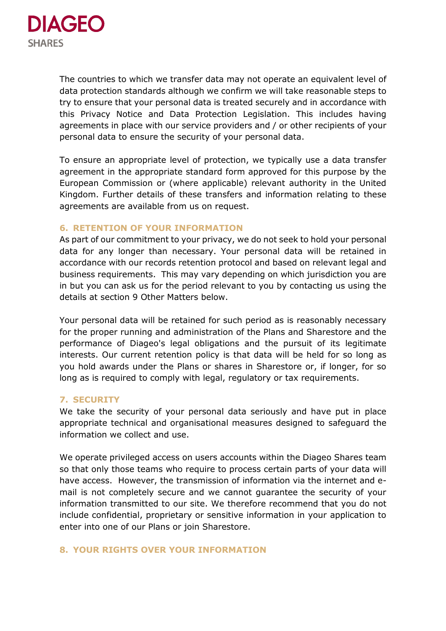

The countries to which we transfer data may not operate an equivalent level of data protection standards although we confirm we will take reasonable steps to try to ensure that your personal data is treated securely and in accordance with this Privacy Notice and Data Protection Legislation. This includes having agreements in place with our service providers and / or other recipients of your personal data to ensure the security of your personal data.

To ensure an appropriate level of protection, we typically use a data transfer agreement in the appropriate standard form approved for this purpose by the European Commission or (where applicable) relevant authority in the United Kingdom. Further details of these transfers and information relating to these agreements are available from us on request.

#### **6. RETENTION OF YOUR INFORMATION**

As part of our commitment to your privacy, we do not seek to hold your personal data for any longer than necessary. Your personal data will be retained in accordance with our records retention protocol and based on relevant legal and business requirements. This may vary depending on which jurisdiction you are in but you can ask us for the period relevant to you by contacting us using the details at section 9 Other Matters below.

Your personal data will be retained for such period as is reasonably necessary for the proper running and administration of the Plans and Sharestore and the performance of Diageo's legal obligations and the pursuit of its legitimate interests. Our current retention policy is that data will be held for so long as you hold awards under the Plans or shares in Sharestore or, if longer, for so long as is required to comply with legal, regulatory or tax requirements.

### **7. SECURITY**

We take the security of your personal data seriously and have put in place appropriate technical and organisational measures designed to safeguard the information we collect and use.

We operate privileged access on users accounts within the Diageo Shares team so that only those teams who require to process certain parts of your data will have access. However, the transmission of information via the internet and email is not completely secure and we cannot guarantee the security of your information transmitted to our site. We therefore recommend that you do not include confidential, proprietary or sensitive information in your application to enter into one of our Plans or join Sharestore.

### **8. YOUR RIGHTS OVER YOUR INFORMATION**